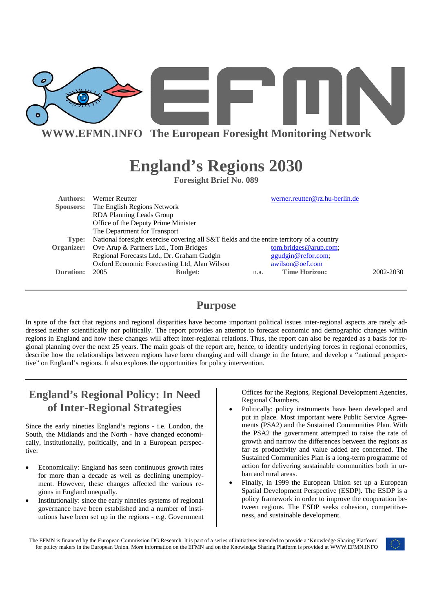

# **England's Regions 2030**

**Foresight Brief No. 089** 

| Authors:  | Werner Reutter                                                                            |      | werner.reutter@rz.hu-berlin.de |           |
|-----------|-------------------------------------------------------------------------------------------|------|--------------------------------|-----------|
|           | Sponsors: The English Regions Network                                                     |      |                                |           |
|           | RDA Planning Leads Group                                                                  |      |                                |           |
|           | Office of the Deputy Prime Minister                                                       |      |                                |           |
|           | The Department for Transport                                                              |      |                                |           |
| Type:     | National foresight exercise covering all S&T fields and the entire territory of a country |      |                                |           |
|           | Organizer: Ove Arup & Partners Ltd., Tom Bridges                                          |      | tom.bridges@arup.com;          |           |
|           | Regional Forecasts Ltd., Dr. Graham Gudgin                                                |      | ggudgin@refor.com;             |           |
|           | Oxford Economic Forecasting Ltd, Alan Wilson                                              |      | awilson@oef.com                |           |
| Duration: | 2005<br><b>Budget:</b>                                                                    | n.a. | <b>Time Horizon:</b>           | 2002-2030 |
|           |                                                                                           |      |                                |           |

### **Purpose**

In spite of the fact that regions and regional disparities have become important political issues inter-regional aspects are rarely addressed neither scientifically nor politically. The report provides an attempt to forecast economic and demographic changes within regions in England and how these changes will affect inter-regional relations. Thus, the report can also be regarded as a basis for regional planning over the next 25 years. The main goals of the report are, hence, to identify underlying forces in regional economies, describe how the relationships between regions have been changing and will change in the future, and develop a "national perspective" on England's regions. It also explores the opportunities for policy intervention.

## **England's Regional Policy: In Need of Inter-Regional Strategies**

Since the early nineties England's regions - i.e. London, the South, the Midlands and the North - have changed economically, institutionally, politically, and in a European perspective:

- Economically: England has seen continuous growth rates for more than a decade as well as declining unemployment. However, these changes affected the various regions in England unequally.
- Institutionally: since the early nineties systems of regional governance have been established and a number of institutions have been set up in the regions - e.g. Government

Offices for the Regions, Regional Development Agencies, Regional Chambers.

- Politically: policy instruments have been developed and put in place. Most important were Public Service Agreements (PSA2) and the Sustained Communities Plan. With the PSA2 the government attempted to raise the rate of growth and narrow the differences between the regions as far as productivity and value added are concerned. The Sustained Communities Plan is a long-term programme of action for delivering sustainable communities both in urban and rural areas.
- Finally, in 1999 the European Union set up a European Spatial Development Perspective (ESDP). The ESDP is a policy framework in order to improve the cooperation between regions. The ESDP seeks cohesion, competitiveness, and sustainable development.
- The EFMN is financed by the European Commission DG Research. It is part of a series of initiatives intended to provide a 'Knowledge Sharing Platform' for policy makers in the European Union. More information on the EFMN and on the Knowledge Sharing Platform is provided at WWW.EFMN.INFO

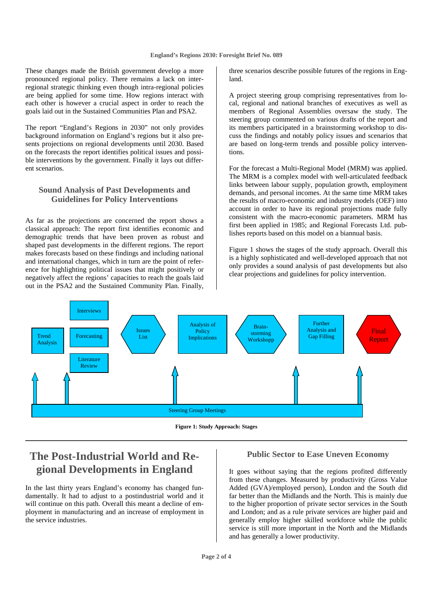These changes made the British government develop a more pronounced regional policy. There remains a lack on interregional strategic thinking even though intra-regional policies are being applied for some time. How regions interact with each other is however a crucial aspect in order to reach the goals laid out in the Sustained Communities Plan and PSA2.

The report "England's Regions in 2030" not only provides background information on England's regions but it also presents projections on regional developments until 2030. Based on the forecasts the report identifies political issues and possible interventions by the government. Finally it lays out different scenarios.

### **Sound Analysis of Past Developments and Guidelines for Policy Interventions**

As far as the projections are concerned the report shows a classical approach: The report first identifies economic and demographic trends that have been proven as robust and shaped past developments in the different regions. The report makes forecasts based on these findings and including national and international changes, which in turn are the point of reference for highlighting political issues that might positively or negatively affect the regions' capacities to reach the goals laid out in the PSA2 and the Sustained Community Plan. Finally,

three scenarios describe possible futures of the regions in England.

A project steering group comprising representatives from local, regional and national branches of executives as well as members of Regional Assemblies oversaw the study. The steering group commented on various drafts of the report and its members participated in a brainstorming workshop to discuss the findings and notably policy issues and scenarios that are based on long-term trends and possible policy interventions.

For the forecast a Multi-Regional Model (MRM) was applied. The MRM is a complex model with well-articulated feedback links between labour supply, population growth, employment demands, and personal incomes. At the same time MRM takes the results of macro-economic and industry models (OEF) into account in order to have its regional projections made fully consistent with the macro-economic parameters. MRM has first been applied in 1985; and Regional Forecasts Ltd. publishes reports based on this model on a biannual basis.

Figure 1 shows the stages of the study approach. Overall this is a highly sophisticated and well-developed approach that not only provides a sound analysis of past developments but also clear projections and guidelines for policy intervention.



**Figure 1: Study Approach: Stages** 

### **The Post-Industrial World and Regional Developments in England**

In the last thirty years England's economy has changed fundamentally. It had to adjust to a postindustrial world and it will continue on this path. Overall this meant a decline of employment in manufacturing and an increase of employment in the service industries.

#### **Public Sector to Ease Uneven Economy**

It goes without saying that the regions profited differently from these changes. Measured by productivity (Gross Value Added (GVA)/employed person), London and the South did far better than the Midlands and the North. This is mainly due to the higher proportion of private sector services in the South and London; and as a rule private services are higher paid and generally employ higher skilled workforce while the public service is still more important in the North and the Midlands and has generally a lower productivity.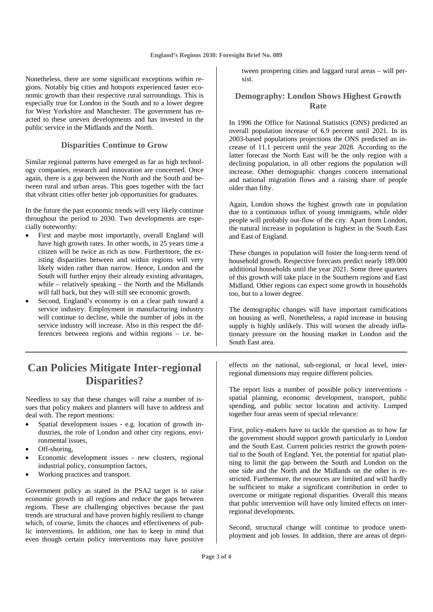Nonetheless, there are some significant exceptions within regions. Notably big cities and hotspots experienced faster economic growth than their respective rural surroundings. This is especially true for London in the South and to a lower degree for West Yorkshire and Manchester. The government has reacted to these uneven developments and has invested in the public service in the Midlands and the North.

#### **Disparities Continue to Grow**

Similar regional patterns have emerged as far as high technology companies, research and innovation are concerned. Once again, there is a gap between the North and the South and between rural and urban areas. This goes together with the fact that vibrant cities offer better job opportunities for graduates.

In the future the past economic trends will very likely continue throughout the period to 2030. Two developments are especially noteworthy:

- First and maybe most importantly, overall England will have high growth rates. In other words, in 25 years time a citizen will be twice as rich as now. Furthermore, the existing disparities between and within regions will very likely widen rather than narrow. Hence, London and the South will further enjoy their already existing advantages, while – relatively speaking – the North and the Midlands will fall back, but they will still see economic growth.
- Second, England's economy is on a clear path toward a service industry. Employment in manufacturing industry will continue to decline, while the number of jobs in the service industry will increase. Also in this respect the differences between regions and within regions – i.e. be-

### **Can Policies Mitigate Inter-regional Disparities?**

Needless to say that these changes will raise a number of issues that policy makers and planners will have to address and deal with. The report mentions:

- Spatial development issues e.g. location of growth industries, the role of London and other city regions, environmental issues,
- Off-shoring,
- Economic development issues new clusters, regional industrial policy, consumption factors,
- Working practices and transport.

Government policy as stated in the PSA2 target is to raise economic growth in all regions and reduce the gaps between regions. These are challenging objectives because the past trends are structural and have proven highly resilient to change which, of course, limits the chances and effectiveness of public interventions. In addition, one has to keep in mind that even though certain policy interventions may have positive

tween prospering cities and laggard rural areas – will persist.

#### **Demography: London Shows Highest Growth Rate**

In 1996 the Office for National Statistics (ONS) predicted an overall population increase of 6.9 percent until 2021. In its 2003-based populations projections the ONS predicted an increase of 11.1 percent until the year 2028. According to the latter forecast the North East will be the only region with a declining population, in all other regions the population will increase. Other demographic changes concern international and national migration flows and a raising share of people older than fifty.

Again, London shows the highest growth rate in population due to a continuous influx of young immigrants, while older people will probably out-flow of the city. Apart from London, the natural increase in population is highest in the South East and East of England.

These changes in population will foster the long-term trend of household growth. Respective forecasts predict nearly 189.000 additional households until the year 2021. Some three quarters of this growth will take place in the Southern regions and East Midland. Other regions can expect some growth in households too, but to a lower degree.

The demographic changes will have important ramifications on housing as well. Nonetheless, a rapid increase in housing supply is highly unlikely. This will worsen the already inflationary pressure on the housing market in London and the South East area.

effects on the national, sub-regional, or local level, interregional dimensions may require different policies.

The report lists a number of possible policy interventions spatial planning, economic development, transport, public spending, and public sector location and activity. Lumped together four areas seem of special relevance:

First, policy-makers have to tackle the question as to how far the government should support growth particularly in London and the South East. Current policies restrict the growth potential to the South of England. Yet, the potential for spatial planning to limit the gap between the South and London on the one side and the North and the Midlands on the other is restricted. Furthermore, the resources are limited and will hardly be sufficient to make a significant contribution in order to overcome or mitigate regional disparities. Overall this means that public intervention will have only limited effects on interregional developments.

Second, structural change will continue to produce unemployment and job losses. In addition, there are areas of depri